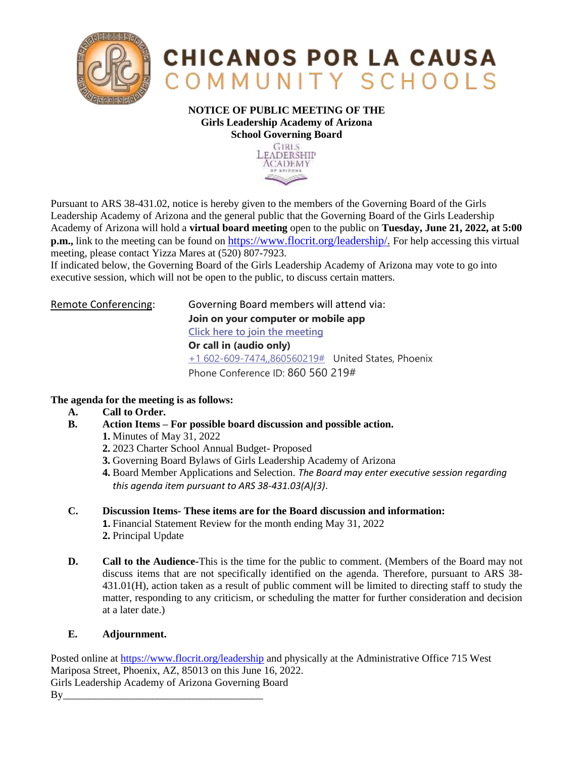

## **CHICANOS POR LA CAUSA** COMMUNITY SCHOOLS

## **NOTICE OF PUBLIC MEETING OF THE Girls Leadership Academy of Arizona School Governing Board**



Pursuant to ARS 38-431.02, notice is hereby given to the members of the Governing Board of the Girls Leadership Academy of Arizona and the general public that the Governing Board of the Girls Leadership Academy of Arizona will hold a **virtual board meeting** open to the public on **Tuesday, June 21, 2022, at 5:00 p.m.,** link to the meeting can be found on [https://www.flocrit.org/leadership/.](https://www.flocrit.org/leadership/) For help accessing this virtual meeting, please contact Yizza Mares at (520) 807-7923.

If indicated below, the Governing Board of the Girls Leadership Academy of Arizona may vote to go into executive session, which will not be open to the public, to discuss certain matters.

| Remote Conferencing: | Governing Board members will attend via:             |
|----------------------|------------------------------------------------------|
|                      | Join on your computer or mobile app                  |
|                      | Click here to join the meeting                       |
|                      | Or call in (audio only)                              |
|                      | $+1$ 602-609-7474, 860560219# United States, Phoenix |
|                      | Phone Conference ID: 860 560 219#                    |
|                      |                                                      |

## **The agenda for the meeting is as follows:**

- **A. Call to Order.**
- **B. Action Items – For possible board discussion and possible action.** 
	- **1.** Minutes of May 31, 2022
		- **2.** 2023 Charter School Annual Budget- Proposed
	- **3.** Governing Board Bylaws of Girls Leadership Academy of Arizona
	- **4.** Board Member Applications and Selection. *The Board may enter executive session regarding this agenda item pursuant to ARS 38-431.03(A)(3)*.
- **C. Discussion Items- These items are for the Board discussion and information: 1.** Financial Statement Review for the month ending May 31, 2022
	- **2.** Principal Update
- **D. Call to the Audience-**This is the time for the public to comment. (Members of the Board may not discuss items that are not specifically identified on the agenda. Therefore, pursuant to ARS 38- 431.01(H), action taken as a result of public comment will be limited to directing staff to study the matter, responding to any criticism, or scheduling the matter for further consideration and decision at a later date.)

## **E. Adjournment.**

Posted online at<https://www.flocrit.org/leadership> and physically at the Administrative Office 715 West Mariposa Street, Phoenix, AZ, 85013 on this June 16, 2022. Girls Leadership Academy of Arizona Governing Board By\_\_\_\_\_\_\_\_\_\_\_\_\_\_\_\_\_\_\_\_\_\_\_\_\_\_\_\_\_\_\_\_\_\_\_\_\_\_